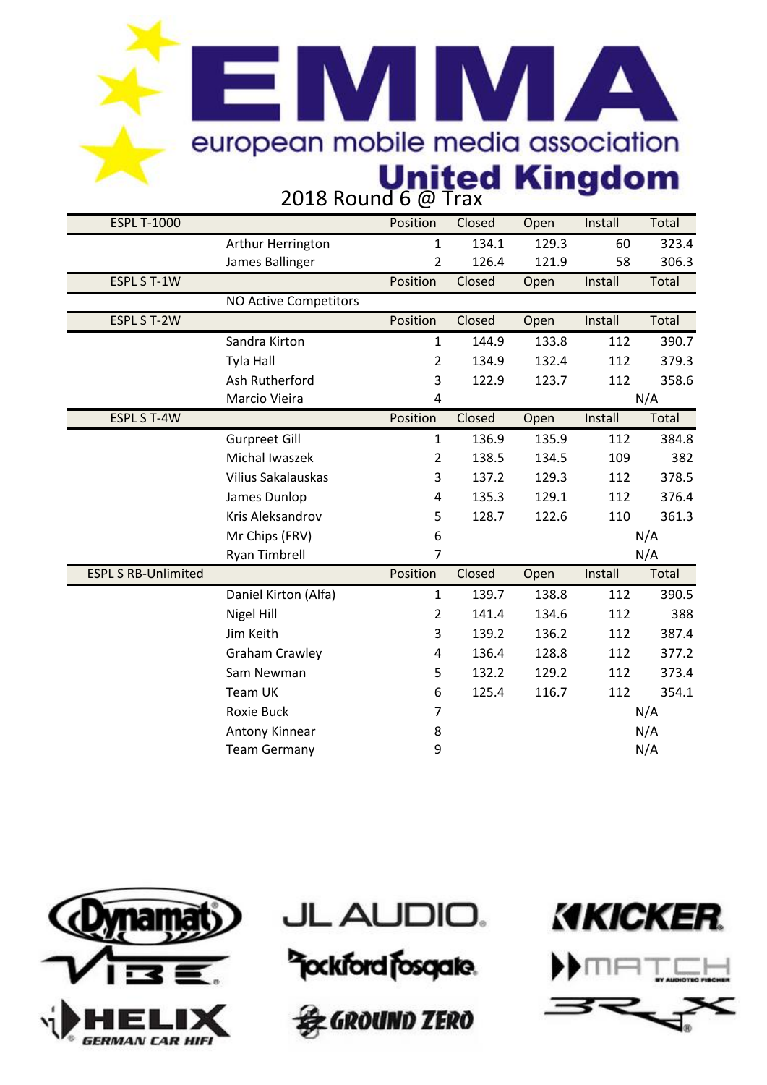#### **EMM AN** european mobile media association **United Kingdom**<br>2018 Round 6 @ Trax

| <b>ESPL T-1000</b>         |                              | Position       | Closed | Open  | Install | Total |
|----------------------------|------------------------------|----------------|--------|-------|---------|-------|
|                            | Arthur Herrington            | $\mathbf{1}$   | 134.1  | 129.3 | 60      | 323.4 |
|                            | James Ballinger              | 2              | 126.4  | 121.9 | 58      | 306.3 |
| <b>ESPL S T-1W</b>         |                              | Position       | Closed | Open  | Install | Total |
|                            | <b>NO Active Competitors</b> |                |        |       |         |       |
| <b>ESPL S T-2W</b>         |                              | Position       | Closed | Open  | Install | Total |
|                            | Sandra Kirton                | $\mathbf{1}$   | 144.9  | 133.8 | 112     | 390.7 |
|                            | <b>Tyla Hall</b>             | $\overline{2}$ | 134.9  | 132.4 | 112     | 379.3 |
|                            | Ash Rutherford               | 3              | 122.9  | 123.7 | 112     | 358.6 |
|                            | Marcio Vieira                | 4              |        |       |         | N/A   |
| <b>ESPL S T-4W</b>         |                              | Position       | Closed | Open  | Install | Total |
|                            | <b>Gurpreet Gill</b>         | $\mathbf{1}$   | 136.9  | 135.9 | 112     | 384.8 |
|                            | <b>Michal Iwaszek</b>        | $\overline{2}$ | 138.5  | 134.5 | 109     | 382   |
|                            | Vilius Sakalauskas           | 3              | 137.2  | 129.3 | 112     | 378.5 |
|                            | James Dunlop                 | 4              | 135.3  | 129.1 | 112     | 376.4 |
|                            | Kris Aleksandrov             | 5              | 128.7  | 122.6 | 110     | 361.3 |
|                            | Mr Chips (FRV)               | 6              |        |       |         | N/A   |
|                            | <b>Ryan Timbrell</b>         | $\overline{7}$ |        |       |         | N/A   |
| <b>ESPL S RB-Unlimited</b> |                              | Position       | Closed | Open  | Install | Total |
|                            | Daniel Kirton (Alfa)         | $\mathbf{1}$   | 139.7  | 138.8 | 112     | 390.5 |
|                            | Nigel Hill                   | $\overline{2}$ | 141.4  | 134.6 | 112     | 388   |
|                            | Jim Keith                    | 3              | 139.2  | 136.2 | 112     | 387.4 |
|                            | <b>Graham Crawley</b>        | 4              | 136.4  | 128.8 | 112     | 377.2 |
|                            | Sam Newman                   | 5              | 132.2  | 129.2 | 112     | 373.4 |
|                            | Team UK                      | 6              | 125.4  | 116.7 | 112     | 354.1 |
|                            | Roxie Buck                   | $\overline{7}$ |        |       |         | N/A   |
|                            | Antony Kinnear               | 8              |        |       |         | N/A   |
|                            | <b>Team Germany</b>          | 9              |        |       |         | N/A   |
|                            |                              |                |        |       |         |       |







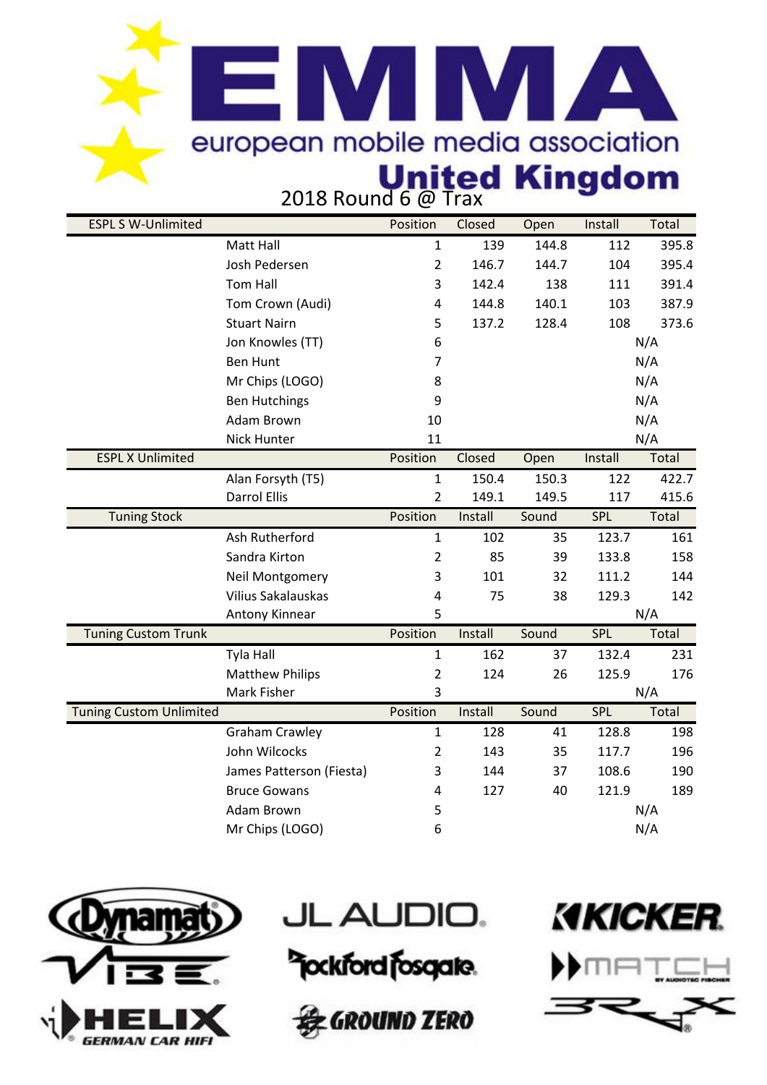## **EIMIMI A** european mobile media association **United Kingdom**<br>2018 Round 6 @ Trax

| <b>ESPL S W-Unlimited</b>      |                           | Position                | Closed  | Open  | Install    | Total |
|--------------------------------|---------------------------|-------------------------|---------|-------|------------|-------|
|                                | Matt Hall                 | $\mathbf{1}$            | 139     | 144.8 | 112        | 395.8 |
|                                | Josh Pedersen             | $\overline{2}$          | 146.7   | 144.7 | 104        | 395.4 |
|                                | <b>Tom Hall</b>           | 3                       | 142.4   | 138   | 111        | 391.4 |
|                                | Tom Crown (Audi)          | 4                       | 144.8   | 140.1 | 103        | 387.9 |
|                                | <b>Stuart Nairn</b>       | 5                       | 137.2   | 128.4 | 108        | 373.6 |
|                                | Jon Knowles (TT)          | 6                       |         |       |            | N/A   |
|                                | <b>Ben Hunt</b>           | 7                       |         |       |            | N/A   |
|                                | Mr Chips (LOGO)           | 8                       |         |       |            | N/A   |
|                                | <b>Ben Hutchings</b>      | 9                       |         |       |            | N/A   |
|                                | Adam Brown                | 10                      |         |       |            | N/A   |
|                                | <b>Nick Hunter</b>        | 11                      |         |       |            | N/A   |
| <b>ESPL X Unlimited</b>        |                           | Position                | Closed  | Open  | Install    | Total |
|                                | Alan Forsyth (T5)         | $\mathbf{1}$            | 150.4   | 150.3 | 122        | 422.7 |
|                                | <b>Darrol Ellis</b>       | $\overline{2}$          | 149.1   | 149.5 | 117        | 415.6 |
| <b>Tuning Stock</b>            |                           | Position                | Install | Sound | <b>SPL</b> | Total |
|                                | Ash Rutherford            | 1                       | 102     | 35    | 123.7      | 161   |
|                                | Sandra Kirton             | $\overline{2}$          | 85      | 39    | 133.8      | 158   |
|                                | <b>Neil Montgomery</b>    | 3                       | 101     | 32    | 111.2      | 144   |
|                                | <b>Vilius Sakalauskas</b> | $\overline{\mathbf{4}}$ | 75      | 38    | 129.3      | 142   |
|                                | Antony Kinnear            | 5                       |         |       |            | N/A   |
| <b>Tuning Custom Trunk</b>     |                           | Position                | Install | Sound | <b>SPL</b> | Total |
|                                | Tyla Hall                 | 1                       | 162     | 37    | 132.4      | 231   |
|                                | <b>Matthew Philips</b>    | $\overline{2}$          | 124     | 26    | 125.9      | 176   |
|                                | Mark Fisher               | 3                       |         |       |            | N/A   |
| <b>Tuning Custom Unlimited</b> |                           | Position                | Install | Sound | <b>SPL</b> | Total |
|                                | <b>Graham Crawley</b>     | $\mathbf{1}$            | 128     | 41    | 128.8      | 198   |
|                                | John Wilcocks             | $\overline{2}$          | 143     | 35    | 117.7      | 196   |
|                                | James Patterson (Fiesta)  | 3                       | 144     | 37    | 108.6      | 190   |
|                                | <b>Bruce Gowans</b>       | 4                       | 127     | 40    | 121.9      | 189   |
|                                | Adam Brown                | 5                       |         |       |            | N/A   |
|                                | Mr Chips (LOGO)           | 6                       |         |       |            | N/A   |



**JL AUDIO.** 





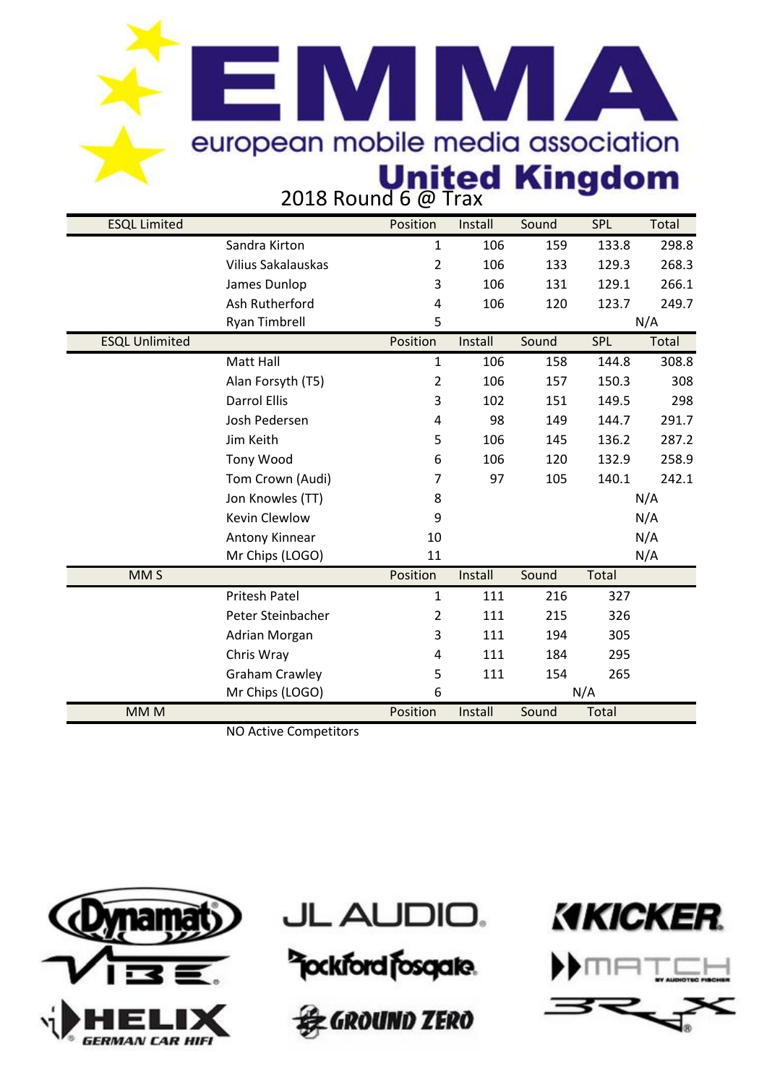### **EIMIMI A** european mobile media association **United Kingdom**<br>2018 Round 6 @ Trax

| <b>ESQL Limited</b>   |                              | Position       | Install | Sound | SPL   | Total |
|-----------------------|------------------------------|----------------|---------|-------|-------|-------|
|                       | Sandra Kirton                | 1              | 106     | 159   | 133.8 | 298.8 |
|                       | <b>Vilius Sakalauskas</b>    | $\overline{2}$ | 106     | 133   | 129.3 | 268.3 |
|                       | James Dunlop                 | 3              | 106     | 131   | 129.1 | 266.1 |
|                       | Ash Rutherford               | 4              | 106     | 120   | 123.7 | 249.7 |
|                       | Ryan Timbrell                | 5              |         |       |       | N/A   |
| <b>ESQL Unlimited</b> |                              | Position       | Install | Sound | SPL   | Total |
|                       | Matt Hall                    | 1              | 106     | 158   | 144.8 | 308.8 |
|                       | Alan Forsyth (T5)            | 2              | 106     | 157   | 150.3 | 308   |
|                       | <b>Darrol Ellis</b>          | 3              | 102     | 151   | 149.5 | 298   |
|                       | Josh Pedersen                | 4              | 98      | 149   | 144.7 | 291.7 |
|                       | Jim Keith                    | 5              | 106     | 145   | 136.2 | 287.2 |
|                       | Tony Wood                    | 6              | 106     | 120   | 132.9 | 258.9 |
|                       | Tom Crown (Audi)             | 7              | 97      | 105   | 140.1 | 242.1 |
|                       | Jon Knowles (TT)             | 8              |         |       |       | N/A   |
|                       | <b>Kevin Clewlow</b>         | 9              |         |       |       | N/A   |
|                       | Antony Kinnear               | 10             |         |       |       | N/A   |
|                       | Mr Chips (LOGO)              | 11             |         |       |       | N/A   |
| MM <sub>S</sub>       |                              | Position       | Install | Sound | Total |       |
|                       | <b>Pritesh Patel</b>         | $\mathbf{1}$   | 111     | 216   | 327   |       |
|                       | Peter Steinbacher            | $\overline{2}$ | 111     | 215   | 326   |       |
|                       | Adrian Morgan                | 3              | 111     | 194   | 305   |       |
|                       | Chris Wray                   | 4              | 111     | 184   | 295   |       |
|                       | <b>Graham Crawley</b>        | 5              | 111     | 154   | 265   |       |
|                       | Mr Chips (LOGO)              | 6              |         | N/A   |       |       |
| MM <sub>M</sub>       |                              | Position       | Install | Sound | Total |       |
|                       | <b>NO Active Competitors</b> |                |         |       |       |       |







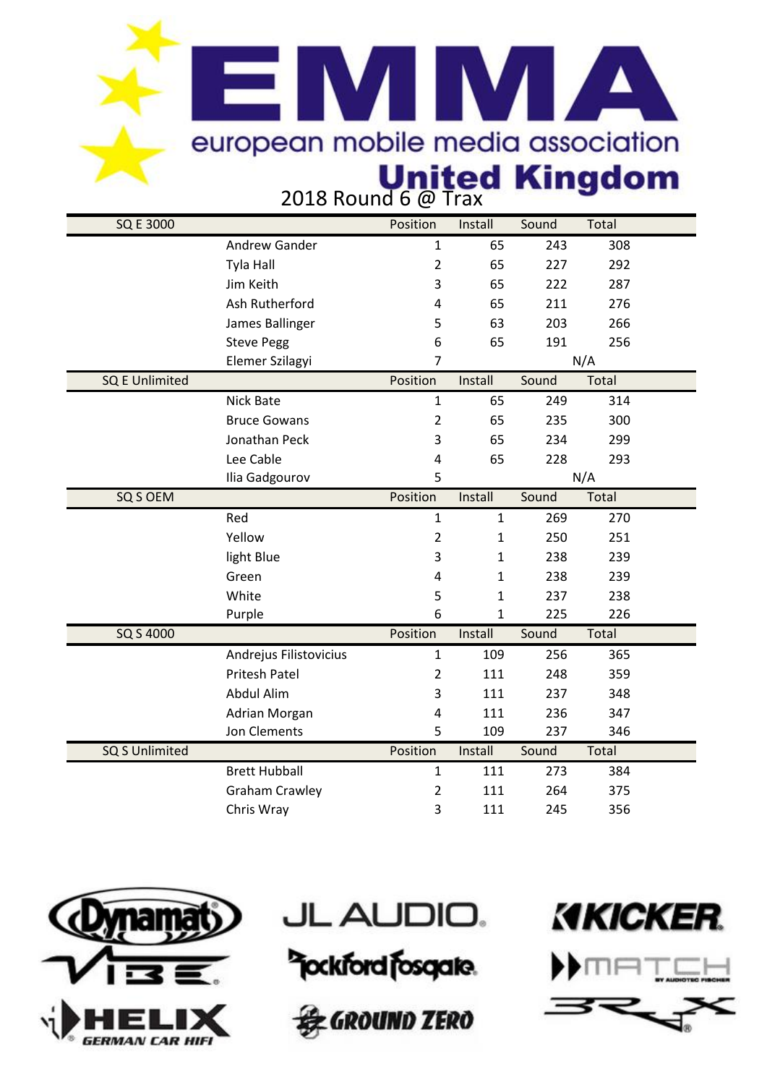### **EIMIMI A** european mobile media association **United Kingdom**<br>2018 Round 6 @ Trax

| <b>SQ E 3000</b>      |                        | Position                | Install      | Sound | Total |  |
|-----------------------|------------------------|-------------------------|--------------|-------|-------|--|
|                       | Andrew Gander          | $\mathbf{1}$            | 65           | 243   | 308   |  |
|                       | Tyla Hall              | $\overline{2}$          | 65           | 227   | 292   |  |
|                       | Jim Keith              | 3                       | 65           | 222   | 287   |  |
|                       | Ash Rutherford         | 4                       | 65           | 211   | 276   |  |
|                       | James Ballinger        | 5                       | 63           | 203   | 266   |  |
|                       | <b>Steve Pegg</b>      | 6                       | 65           | 191   | 256   |  |
|                       | Elemer Szilagyi        | 7                       |              | N/A   |       |  |
| <b>SQ E Unlimited</b> |                        | Position                | Install      | Sound | Total |  |
|                       | Nick Bate              | $\mathbf{1}$            | 65           | 249   | 314   |  |
|                       | <b>Bruce Gowans</b>    | $\overline{2}$          | 65           | 235   | 300   |  |
|                       | Jonathan Peck          | 3                       | 65           | 234   | 299   |  |
|                       | Lee Cable              | 4                       | 65           | 228   | 293   |  |
|                       | Ilia Gadgourov         | 5                       |              |       | N/A   |  |
| SQ S OEM              |                        | Position                | Install      | Sound | Total |  |
|                       | Red                    | $\mathbf{1}$            | $\mathbf{1}$ | 269   | 270   |  |
|                       | Yellow                 | $\overline{2}$          | $\mathbf{1}$ | 250   | 251   |  |
|                       | light Blue             | 3                       | $\mathbf{1}$ | 238   | 239   |  |
|                       | Green                  | $\overline{\mathbf{4}}$ | $\mathbf{1}$ | 238   | 239   |  |
|                       | White                  | 5                       | $\mathbf{1}$ | 237   | 238   |  |
|                       | Purple                 | 6                       | $\mathbf{1}$ | 225   | 226   |  |
| SQ S 4000             |                        | Position                | Install      | Sound | Total |  |
|                       | Andrejus Filistovicius | $\mathbf{1}$            | 109          | 256   | 365   |  |
|                       | <b>Pritesh Patel</b>   | $\overline{2}$          | 111          | 248   | 359   |  |
|                       | Abdul Alim             | 3                       | 111          | 237   | 348   |  |
|                       | Adrian Morgan          | 4                       | 111          | 236   | 347   |  |
|                       | Jon Clements           | 5                       | 109          | 237   | 346   |  |
| <b>SQ S Unlimited</b> |                        | Position                | Install      | Sound | Total |  |
|                       | <b>Brett Hubball</b>   | $\mathbf{1}$            | 111          | 273   | 384   |  |
|                       | <b>Graham Crawley</b>  | $\overline{2}$          | 111          | 264   | 375   |  |
|                       | Chris Wray             | 3                       | 111          | 245   | 356   |  |